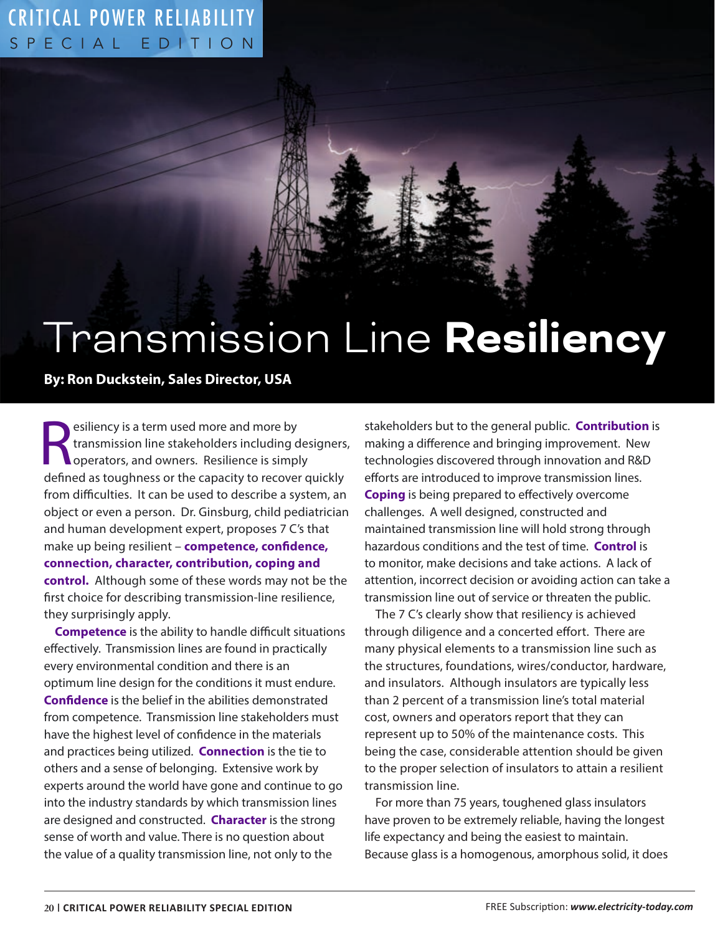## SPECIAL EDITION CRITICAL POWER RELIABILITY

# Transmission Line **Resiliency**

### **By: Ron Duckstein, Sales Director, USA**

esiliency is a term used more and more by<br>transmission line stakeholders including designers<br>operators, and owners. Resilience is simply<br>defined as toughness or the capacity to recover quickly esiliency is a term used more and more by transmission line stakeholders including designers, operators, and owners. Resilience is simply from difficulties. It can be used to describe a system, an object or even a person. Dr. Ginsburg, child pediatrician and human development expert, proposes 7 C's that make up being resilient – **competence, confidence, connection, character, contribution, coping and control.** Although some of these words may not be the first choice for describing transmission-line resilience, they surprisingly apply.

**Competence** is the ability to handle difficult situations effectively. Transmission lines are found in practically every environmental condition and there is an optimum line design for the conditions it must endure. **Confidence** is the belief in the abilities demonstrated from competence. Transmission line stakeholders must have the highest level of confidence in the materials and practices being utilized. **Connection** is the tie to others and a sense of belonging. Extensive work by experts around the world have gone and continue to go into the industry standards by which transmission lines are designed and constructed. **Character** is the strong sense of worth and value. There is no question about the value of a quality transmission line, not only to the

stakeholders but to the general public. **Contribution** is making a difference and bringing improvement. New technologies discovered through innovation and R&D efforts are introduced to improve transmission lines. **Coping** is being prepared to effectively overcome challenges. A well designed, constructed and maintained transmission line will hold strong through hazardous conditions and the test of time. **Control** is to monitor, make decisions and take actions. A lack of attention, incorrect decision or avoiding action can take a transmission line out of service or threaten the public.

The 7 C's clearly show that resiliency is achieved through diligence and a concerted effort. There are many physical elements to a transmission line such as the structures, foundations, wires/conductor, hardware, and insulators. Although insulators are typically less than 2 percent of a transmission line's total material cost, owners and operators report that they can represent up to 50% of the maintenance costs. This being the case, considerable attention should be given to the proper selection of insulators to attain a resilient transmission line.

For more than 75 years, toughened glass insulators have proven to be extremely reliable, having the longest life expectancy and being the easiest to maintain. Because glass is a homogenous, amorphous solid, it does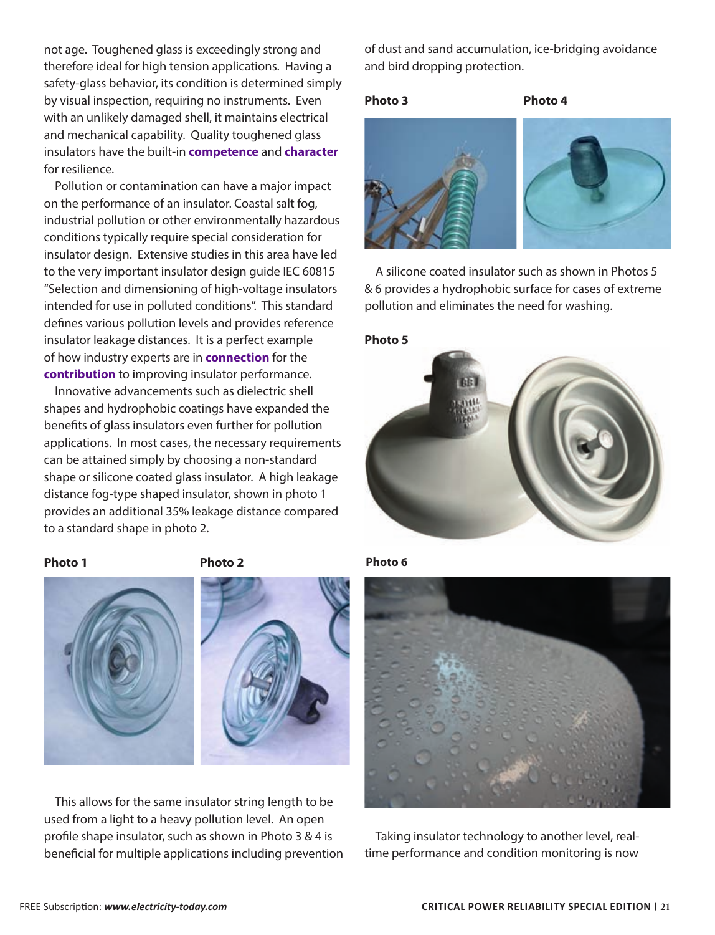not age. Toughened glass is exceedingly strong and therefore ideal for high tension applications. Having a safety-glass behavior, its condition is determined simply by visual inspection, requiring no instruments. Even with an unlikely damaged shell, it maintains electrical and mechanical capability. Quality toughened glass insulators have the built-in **competence** and **character**  for resilience.

Pollution or contamination can have a major impact on the performance of an insulator. Coastal salt fog, industrial pollution or other environmentally hazardous conditions typically require special consideration for insulator design. Extensive studies in this area have led to the very important insulator design guide IEC 60815 "Selection and dimensioning of high-voltage insulators intended for use in polluted conditions". This standard defines various pollution levels and provides reference insulator leakage distances. It is a perfect example of how industry experts are in **connection** for the **contribution** to improving insulator performance.

Innovative advancements such as dielectric shell shapes and hydrophobic coatings have expanded the benefits of glass insulators even further for pollution applications. In most cases, the necessary requirements can be attained simply by choosing a non-standard shape or silicone coated glass insulator. A high leakage distance fog-type shaped insulator, shown in photo 1 provides an additional 35% leakage distance compared to a standard shape in photo 2.

### **Photo 1 Photo 2**





This allows for the same insulator string length to be used from a light to a heavy pollution level. An open profile shape insulator, such as shown in Photo 3 & 4 is beneficial for multiple applications including prevention of dust and sand accumulation, ice-bridging avoidance and bird dropping protection.

### **Photo 3 Photo 4**



A silicone coated insulator such as shown in Photos 5 & 6 provides a hydrophobic surface for cases of extreme pollution and eliminates the need for washing.

### **Photo 5**



**Photo 6**



Taking insulator technology to another level, realtime performance and condition monitoring is now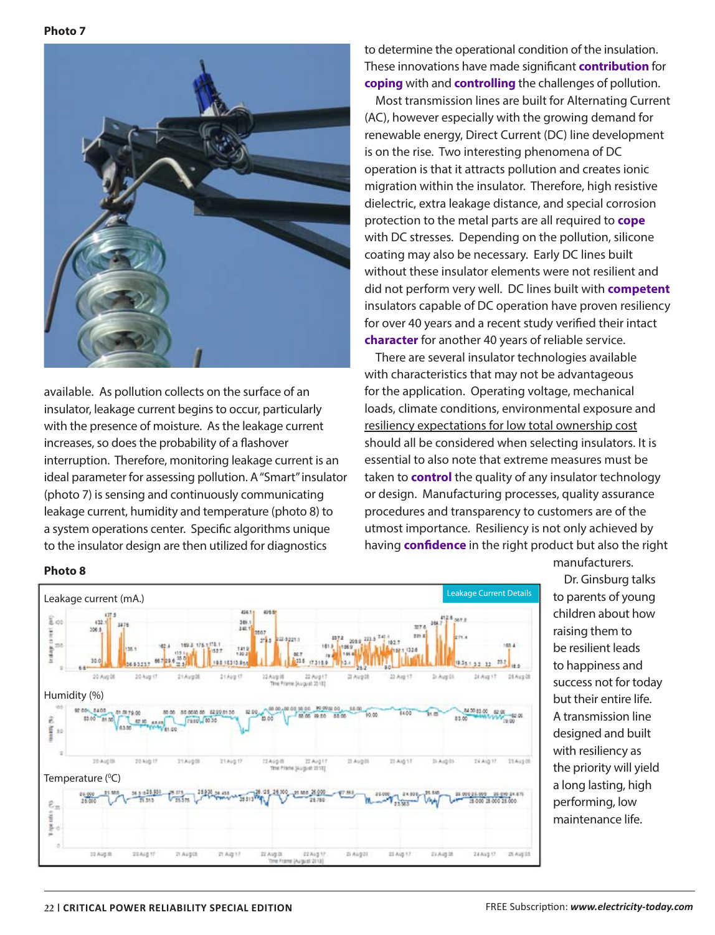

available. As pollution collects on the surface of an insulator, leakage current begins to occur, particularly with the presence of moisture. As the leakage current increases, so does the probability of a flashover interruption. Therefore, monitoring leakage current is an ideal parameter for assessing pollution. A "Smart" insulator (photo 7) is sensing and continuously communicating leakage current, humidity and temperature (photo 8) to a system operations center. Specific algorithms unique to the insulator design are then utilized for diagnostics

to determine the operational condition of the insulation. These innovations have made significant **contribution** for **coping** with and **controlling** the challenges of pollution.

Most transmission lines are built for Alternating Current (AC), however especially with the growing demand for renewable energy, Direct Current (DC) line development is on the rise. Two interesting phenomena of DC operation is that it attracts pollution and creates ionic migration within the insulator. Therefore, high resistive dielectric, extra leakage distance, and special corrosion protection to the metal parts are all required to **cope** with DC stresses. Depending on the pollution, silicone coating may also be necessary. Early DC lines built without these insulator elements were not resilient and did not perform very well. DC lines built with **competent** insulators capable of DC operation have proven resiliency for over 40 years and a recent study verified their intact **character** for another 40 years of reliable service.

There are several insulator technologies available with characteristics that may not be advantageous for the application. Operating voltage, mechanical loads, climate conditions, environmental exposure and resiliency expectations for low total ownership cost should all be considered when selecting insulators. It is essential to also note that extreme measures must be taken to **control** the quality of any insulator technology or design. Manufacturing processes, quality assurance procedures and transparency to customers are of the utmost importance. Resiliency is not only achieved by having **confidence** in the right product but also the right manufacturers.

Leakage Current (mA.) and the contract of the contract of the contract of the contract of the contract of the contract of the contract of the contract of the contract of the contract of the contract of the contract of the ass t 496.6  $\mathbb{F}_{\infty}$ its. 1AL 34.74 **Leid are** 30. 10315313.044 25.2  $_{12}$ si o 20 Avg 08 20 Aug 17 12 Aug 05 22 Aug 1 23 Avg 17  $21$  Aug 01 26 Avg 17 21 Aug 05 21 Aug DE  $21 \text{A}$ ug 17 Humidity (%) 10.42.95.10 1600  $-62.06$ 85.00 â 42.95 草 20 Aug 00 21 Aug 09 20 Aug 1 21 Aug 08 21 Aug 17 12 Aug 00 22 Aug 11 II Aug III 23 Aug 17 **Ji Aig 01 TA Aug 11** Temperature (°C) 54 3 3 3 3 5 5 5 1 as san 26.000  $24.53$  $\mathcal{E}_\pi$ **VI** ñ 통 10 Aug II 22Aug 17 21.Augus 21.Aig 17 22 Aug 01 22Aig1 zi Augūl 21 Aig 17 21 Aug 16 ZEAug 17 25 Aug 01

**Photo 8**

Dr. Ginsburg talks to parents of young children about how raising them to be resilient leads to happiness and success not for today but their entire life. A transmission line designed and built with resiliency as the priority will yield a long lasting, high performing, low maintenance life.